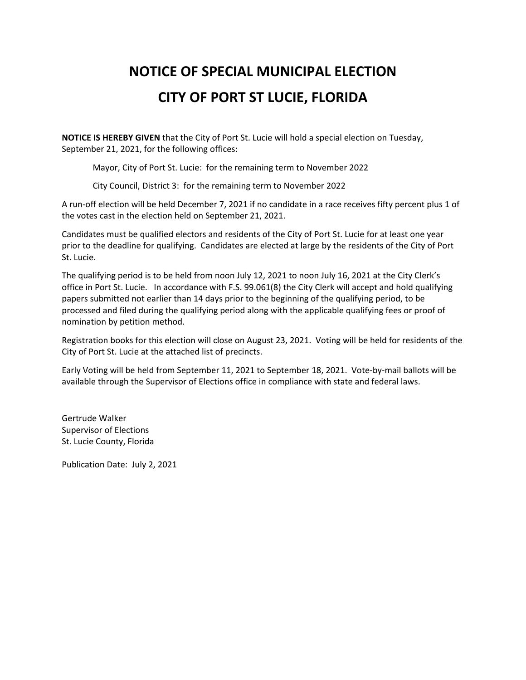## **NOTICE OF SPECIAL MUNICIPAL ELECTION CITY OF PORT ST LUCIE, FLORIDA**

**NOTICE IS HEREBY GIVEN** that the City of Port St. Lucie will hold a special election on Tuesday, September 21, 2021, for the following offices:

Mayor, City of Port St. Lucie: for the remaining term to November 2022

City Council, District 3: for the remaining term to November 2022

A run-off election will be held December 7, 2021 if no candidate in a race receives fifty percent plus 1 of the votes cast in the election held on September 21, 2021.

Candidates must be qualified electors and residents of the City of Port St. Lucie for at least one year prior to the deadline for qualifying. Candidates are elected at large by the residents of the City of Port St. Lucie.

The qualifying period is to be held from noon July 12, 2021 to noon July 16, 2021 at the City Clerk's office in Port St. Lucie. In accordance with F.S. 99.061(8) the City Clerk will accept and hold qualifying papers submitted not earlier than 14 days prior to the beginning of the qualifying period, to be processed and filed during the qualifying period along with the applicable qualifying fees or proof of nomination by petition method.

Registration books for this election will close on August 23, 2021. Voting will be held for residents of the City of Port St. Lucie at the attached list of precincts.

Early Voting will be held from September 11, 2021 to September 18, 2021. Vote-by-mail ballots will be available through the Supervisor of Elections office in compliance with state and federal laws.

Gertrude Walker Supervisor of Elections St. Lucie County, Florida

Publication Date: July 2, 2021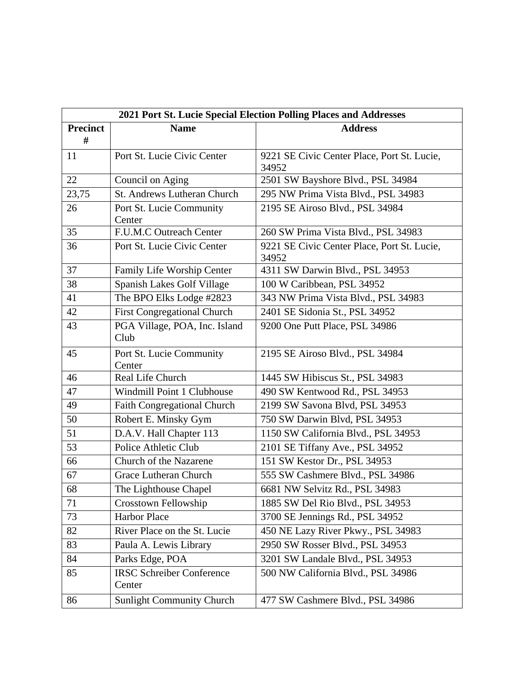| 2021 Port St. Lucie Special Election Polling Places and Addresses |                                            |                                                      |
|-------------------------------------------------------------------|--------------------------------------------|------------------------------------------------------|
| <b>Precinct</b><br>#                                              | <b>Name</b>                                | <b>Address</b>                                       |
| 11                                                                | Port St. Lucie Civic Center                | 9221 SE Civic Center Place, Port St. Lucie,<br>34952 |
| 22                                                                | Council on Aging                           | 2501 SW Bayshore Blvd., PSL 34984                    |
| 23,75                                                             | St. Andrews Lutheran Church                | 295 NW Prima Vista Blvd., PSL 34983                  |
| 26                                                                | Port St. Lucie Community<br>Center         | 2195 SE Airoso Blvd., PSL 34984                      |
| 35                                                                | F.U.M.C Outreach Center                    | 260 SW Prima Vista Blvd., PSL 34983                  |
| 36                                                                | Port St. Lucie Civic Center                | 9221 SE Civic Center Place, Port St. Lucie,<br>34952 |
| 37                                                                | Family Life Worship Center                 | 4311 SW Darwin Blvd., PSL 34953                      |
| 38                                                                | Spanish Lakes Golf Village                 | 100 W Caribbean, PSL 34952                           |
| 41                                                                | The BPO Elks Lodge #2823                   | 343 NW Prima Vista Blvd., PSL 34983                  |
| 42                                                                | <b>First Congregational Church</b>         | 2401 SE Sidonia St., PSL 34952                       |
| 43                                                                | PGA Village, POA, Inc. Island<br>Club      | 9200 One Putt Place, PSL 34986                       |
| 45                                                                | Port St. Lucie Community<br>Center         | 2195 SE Airoso Blvd., PSL 34984                      |
| 46                                                                | Real Life Church                           | 1445 SW Hibiscus St., PSL 34983                      |
| 47                                                                | Windmill Point 1 Clubhouse                 | 490 SW Kentwood Rd., PSL 34953                       |
| 49                                                                | Faith Congregational Church                | 2199 SW Savona Blvd, PSL 34953                       |
| 50                                                                | Robert E. Minsky Gym                       | 750 SW Darwin Blvd, PSL 34953                        |
| 51                                                                | D.A.V. Hall Chapter 113                    | 1150 SW California Blvd., PSL 34953                  |
| 53                                                                | Police Athletic Club                       | 2101 SE Tiffany Ave., PSL 34952                      |
| 66                                                                | Church of the Nazarene                     | 151 SW Kestor Dr., PSL 34953                         |
| 67                                                                | Grace Lutheran Church                      | 555 SW Cashmere Blvd., PSL 34986                     |
| 68                                                                | The Lighthouse Chapel                      | 6681 NW Selvitz Rd., PSL 34983                       |
| 71                                                                | Crosstown Fellowship                       | 1885 SW Del Rio Blvd., PSL 34953                     |
| 73                                                                | Harbor Place                               | 3700 SE Jennings Rd., PSL 34952                      |
| 82                                                                | River Place on the St. Lucie               | 450 NE Lazy River Pkwy., PSL 34983                   |
| 83                                                                | Paula A. Lewis Library                     | 2950 SW Rosser Blvd., PSL 34953                      |
| 84                                                                | Parks Edge, POA                            | 3201 SW Landale Blvd., PSL 34953                     |
| 85                                                                | <b>IRSC Schreiber Conference</b><br>Center | 500 NW California Blvd., PSL 34986                   |
| 86                                                                | <b>Sunlight Community Church</b>           | 477 SW Cashmere Blvd., PSL 34986                     |